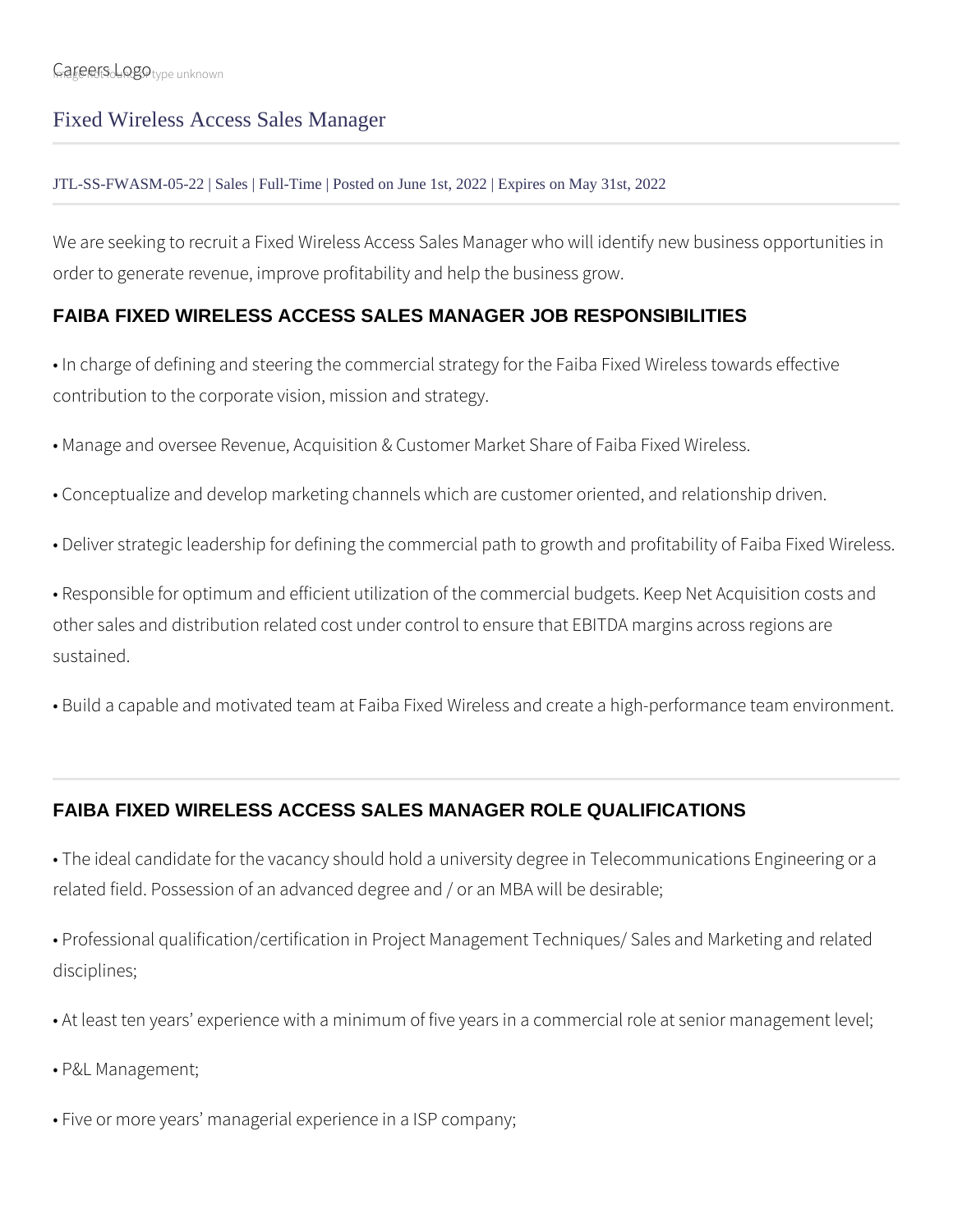## Fixed Wireless Access Sales Manager

## JTL-SS-FWASM-05-22 | Sales | Full-Time | Posted on June 1st, 2022 | Expires on May 31st, 2022

We are seeking to recruit a Fixed Wireless Access Sales Manager who will identify new business opportunities in order to generate revenue, improve profitability and help the business grow.

## **FAIBA FIXED WIRELESS ACCESS SALES MANAGER JOB RESPONSIBILITIES**

• In charge of defining and steering the commercial strategy for the Faiba Fixed Wireless towards effective contribution to the corporate vision, mission and strategy.

• Manage and oversee Revenue, Acquisition & Customer Market Share of Faiba Fixed Wireless.

- Conceptualize and develop marketing channels which are customer oriented, and relationship driven.
- Deliver strategic leadership for defining the commercial path to growth and profitability of Faiba Fixed Wireless.

• Responsible for optimum and efficient utilization of the commercial budgets. Keep Net Acquisition costs and other sales and distribution related cost under control to ensure that EBITDA margins across regions are sustained.

• Build a capable and motivated team at Faiba Fixed Wireless and create a high-performance team environment.

## **FAIBA FIXED WIRELESS ACCESS SALES MANAGER ROLE QUALIFICATIONS**

• The ideal candidate for the vacancy should hold a university degree in Telecommunications Engineering or a related field. Possession of an advanced degree and / or an MBA will be desirable;

• Professional qualification/certification in Project Management Techniques/ Sales and Marketing and related disciplines;

- At least ten years' experience with a minimum of five years in a commercial role at senior management level;
- P&L Management;
- Five or more years' managerial experience in a ISP company;